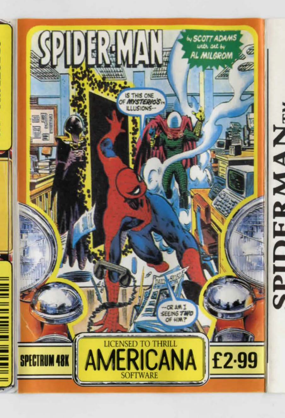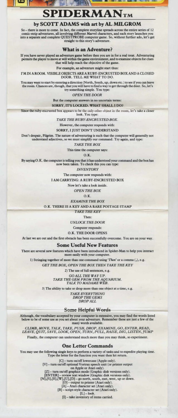# **SPIDERMANTM**

### by SCOTT ADAMS with art by AL MILGROM

So – there is more to come. In fact, the complete storyline spreads across the entire series of 12 comic-strip adventures, all involving different Marvel characters, and each story launches you into a separate and complete

#### What is an Adventure?

If you have never played an adventure game before then you are in for a real treat. Adventuring permits the player to move at will within the game environment, and to examine objects for clues that will help reach the objective of the game.

For example, an adventure might start thus:

l'MINAROOM.VISIBLEOBJECTSAREARUBY-ENCRUSTEDBOXANDACLOSED DOOR. TELLMEWHATTODO.

You may want to start by entering a direction (North, South, up, down etc.) to see if you can leave the room. Chances are, though, that you will have to find a way to get through the door. So, let's try something simple. You type:

*OPEN THE DOOR* 

But the computer answers in no uncertain terms:

SORRY, IT'S LOCKED. WHAT SHALL I DO?

Since the ruby-encrusted box appears to be the only other object in the room, let's take a closer

look. You type:

*TAKE THE RUBY-ENCRUSTED BOX.* 

However, the computer responds with:

SORRY, I JUST DON'T UNDERSTAND

Don't despair, Pilgrim. The nature of adventuring is such that the computer will generally not understand adjectives, so we must simplify our command. Try again, and type:

*TAKE THE BOX* 

This time the computer says:

 $O.K.$ 

By saying O.K. the computer is telling you that it has understood your command and the box has now been taken. To check this you can type:

*INVENTORY* 

The computer now responds with:

I AM CARRYING: A RUBY-ENCRUSTED BOX

Now let's take a look inside.

*OPEN THE BOX* 

 $Q_K$ 

*EXAMINE THE BOX* 

O.K. THERE IS A KEY AND A RARE POSTAGE STAMP

TAKE THE KEY

Then:

*UNLOCK THE DOOR* 

Computer responds:

O.K. THE DOOR OPENS

At last we are out and the first obstacle has been successfully overcome. You are on your way.

#### Some Useful New Features

There are several new features which have been introduced in Spider-Man to help you interact more easily with your computer.

1) Stringing together of more than one command using 'Then' or a comma (,), e.g.

*GET THE BOX, OPEN THE BOX THEN TAKE THE KEY* 

2) The use of full sentences, e.g.

*GOALLTHEWAYUP. TAKE THE GEM FROM THE AQUARIUM. TALK TO MADAME WEB.* 

3) The ability to take or drop more than one object at a time, e.g.

*TAKE EVERYTHING DROP THE GEMS DROP ALL* 

#### Some Helpful Word

Although, the vocabulary accepted by your computer is extensive, you may find the words listed below to be of some use as you set about your adventure. Remember these are just a few of the many words available.

*CLIMB, MOVE, TALK, TAKE, PUSH, DROP, EXAMINE,* GO, *ENTER, READ, LEAVE, QUIT, SAVE, LOOK, OPEN, TURN, PUU, RAISE, DIG, LISTEN, JUMP* 

Finally, the computer can understand much more than you may think, so experiment.

**One Letter Commands**<br>You may use the following single keys to perform a variety of tasks and to expedite playing time.<br>Type the letter for the function you want then hit return.

[CJ- rum on/off lowercase (Apple only). [V] - turn on/off optional Vortrax speech unit (or printer output

on Apple or Atari only).<br>
[Z] – turn on/off graphics mode (Graphic disk versions only).<br>
[ENTER] – review text window (Graphic disk versions only).<br>
[N],[S],[E],[W],[U],[D] – go north, south, east, west, up or down.

[O] – output to printer (Atari only).<br>
[A] – Atari character set (Atari only).<br>
[B] – script-style character set (Atari only).

 $[L]$  – look.

[I] - take inventory of items carried.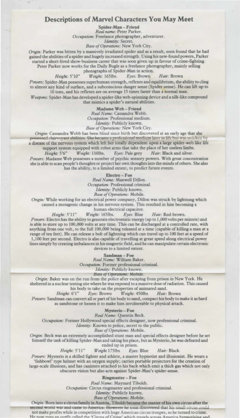#### **Descriptions of Marvel Characters You May Meet**

Spider-Man - Friend<br>Real name: Peter Parker.

 $Occu$ *pation:* Freelance photographer, adventurer.

Identity: Secret.

*Base ofOperatimu:* New York City.

Origin: Parker was bitten by a massively irradiated spider and as a result, soon found that he had gained the abilities of a spider and hugely increased strength. Using his new-found powers, Parker started a short-lived show-business career that was soon given up in favour of crime-fighting. Peter Parker now works for the Daily Bugle as a freelance photographer, mainly selling

photographs of Spider-Man in action.<br>Weight: 165lbs. Eyes: Brown *Height:* 5'10" *Weight:* 165lbs. *Eyes: Brown Hair: Brown* 

Powers: Spider-Man possesses superhuman strength, reflexes and equilibrium, the ability to cling to almost any kind of surface, and a subconscious danger sense (Spider-sense). He can lift up to 10 tons, and his reflexes are on average 15 times faster than a normal man.

*Weapons:* Spider-Man bas developed a spider-like web-spinning device and a silk-like compound **that mimics a spider's narural abilities.** 

Madame Web-Friend<br>*Real Name:* Cassandra Webb.

*Occupation:* Professional medium.

Identity: Publicly known.

**Base of Operations: New York City.** 

*Origin: Cassandra Webb has been blind since birth but discovered at an early age that she* possessed clairvoyant abilities. She became a professional medium later in life but was stricken b a disease of the nervous system which left her totally dependent upon a large spider-web like life

support system equipped with robot arms that take the place of her useless limbs.<br>  $Height: 5'6''$  Weight: 110lbs. Eyes: Pale grey Hair: Black and silver. *Height: 5'6" Weight: 110lbs. Eyes: Pale grey Hair: Black and silver.* 

Powers: Madame Web possesses a number of psychic sensory powers. With great concentration she is able to scan people's thoughts or project her own thoughts into the minds of others. She also has the ability, to a limited extent, to predict future events.

Electro - Foe<br>*Real Name: Maxwell Dillon. Occupation:* Professional criminal.

Identity: Publicly known.

*Bart of Operatimu:* Mobile.

Origin: While working for an electrical power company, Dillon was struck by lightning which

caused a mutagenic change in his nervous system. This resulted in him becoming a

human electrical capacitor.

Height: 5'11" Weight: 165lbs. Eyes: Blue Hair: Red-brown.

Powers: Electro has the ability to generate electrostatic energy (up to 1,000 volts per minute) and is able to store up to 100,000 volts at any time. This can be discharged at a controlled rate, with anything from one volt, to the full 100,000 being released at a time (capable of killing a man at a range of ten feet). He can release a bolt of lightning which can travel up to 100 feet at a speed of 1, 100 feet per second. Electro is also capable of travelling at great speed along electrical power

lines simply by creating imbalances in his magnetic field, and he can manipulate certain electronic **devices to a limited extent.** 

Sandman - Foe<br>*Real Name:* William Baker.

*Occupation:* Former professional criminal.

Identity: Publicly known.

*Hase of Operations: Mobile* 

*Origin: Baker was on the run from the police after escaping from prison in New York. He* sheltered in a nuclear testing site where he was exposed to a massive dose of radiation. This caused his body to take on the properties of animated sand.<br>
Height: 6'1" Eyes: Brown Weight: 450lbs Hair:

*Heigltl:* 6' 1" *Eyes:* Brown *Weight:* 4501bs *Hair:* Brown

Powers: Sandman can convert all or part of his body to sand, compact his body to make it as hard as sandstone or loosen it to make him invulnerable to physical attack.

Mysterio-Foe

*Real Na'"":* Quentin Beck.

*Occupation:* Former Hollywood special effects designer, now professional criminal.

Identity: Known to police, secret to the public.

**Base of Operations: Mobile.** 

*Origin:* Beck was an extremely accomplished stunt man and special effects designer before he set himself the task of killing Spider-Man and taking his place, but as Mysterio, he was defeated and **ended up in prison.** 

*Htigltl:* 5' 11 " *Weight* 175lbs *Eyes:* Blue *Hair:* Black

*POWl!rS:* **Mystcrio is a skilled fighter and athlete, a master hypnotist and illusionist. He wears a** 

'fishbowl' type helmet with an oxygen supply; carries portable projectors for the creation of large-scale illusions, and has canisters attached to his back which emit a thick gas which not only **obscures vision but also acts against Spider-Man's spider-sense.** 

Ringmaster- Foe

Real Name: Maynard Tiboldt.

*Occupation:* Circus ringmaster and professional criminal.

Identity: Publicly known.

**Base of Operations: Mobile.** 

Origin: Born into a circus family in Austria, Tiboldt became the master of his own circus after the **""'9eeona-wor1d-wa:r-uia-ca:mc to Amen.ca. HvwcTu he soon discovered thath.ii ;mall** cin:~ **ccu1d**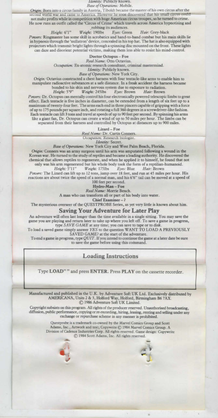second world war and came to America. However he soon discovered that his small circus coun<br>not make profits while in competition with huge American circus troupes, so he turned to crime. He now runs an outfit called the 'Circus of Crime' which travels across America hypnotising and

robbing its audiences.<br>Weight: 190lbs Eyes: Green

*Height: 6'1" Weight: 1901bs <i>Eyes: Green Hair: Grey-black Powers: Ringmaster has some skill in acrobatics and hand-to-hand combat but his main skills lie* in hypnosis through the 'nullatron' device, concealed in his top hat. The hat is also equipped with projectors which transmit bright lights through a spinning disc mounted on the front. These lights can daze and disorient potential victims, making them less able to resist his mind-control.

Doctor Octopua - Foe

Real Name: Otto Octavius.

*Occupation:* Ex-atomic research consultant, criminal mastermind.

*Identity: Publicly known.* 

**Base of Operations: New York City.** 

*Ongin:* Octavius constructed a chest harness wilh four tentacle-like arms to enable him to manipulate radioactive substances at a safe distance. In a freak accident the harness became bonded to his skin and nervous system due co uposurc to radiation.

 $Weight: 2451bs$ 

Powers: Dr. Octopus can mentally control his four electronically powered telescopic limbs to great effect. Each tentacle is five inches in diameter, can be extended from a length of six feet up to a maximum of twenty-four feet. The arms each end in lhrce pincers capable of gripping wilh a force of up to 175 pounds per square inch, and rotating a full 360 degrees in a screwdriver-like fashion. Each tentacle can lift 3 tons and travel at speeds of up to 90 feet per second. By spinning his arms like a giant fan, Dr. Octopus can create a wind of up to 50 miles per hour. The limbs can be separated from their harness and controlled by Octopus at distances up to 900 miles.

Lizard-Foe

-------------R"'I Na.....- Dr. Curtis Cooncrs. t:MpallOn.· m ugm.

*Identity:* Secret.

Base of Operations: New York City and West Palm Beach, Florida.

*Origin:* Conners was an army surgeon until his arm was amputated following a wound in the Korean war. He turned to the study of reptiles and became a leading authority. He discovered the chemical that allows reptiles to regenerate, and when he applied it to himself, he found that not only was his arm regenerated but his whole body took the form of a reptilian-humanoid.<br>  $Height: 5^{\circ}11^{\prime\prime}$  Weight: 175lbs Eyes: Blue Hair: Brown *Weight:* 175lbs

Powers: The Lizard can lift up to 12 tons, jump over 18 feet, and run at 45 miles per hour. His reactions are about twice the speed of a normal man, and his 6'6" tail can be moved at a speed of

100 feet per second.<br>Hydro-Man - Foe

Real Name: Morrie Bench.

A man who can transform all or part of his body into water.

Chief Examiner -?

The mysterious overseer of the QUESTPROBE Series, as yet very little is known about him.

Saving Your Adventure for Later Play

An adventure will often last longer than the time available in a single sitting. You may save the game you are playing and return later to take up where you left off. To save a game in progress, type SAVE GAME at any time; you can save to tape or to disk.

To load a saved game simply answer *YES* to the question WANT TO LOAD A PREVIOUSLY SAVED GAME? at the start of the adventure.

To end a game in progress, type QUIT. If you intend to continue the game at a later date be sure to save the game before using this command.



Type LOAD"" and press ENTER. Press PLAY on the cassette recorder.

Manufactured and published in the U.K. by Adventure Soft UK Ltd. Exclusively distributed by AMERICANA, Units 2 & 3, Holford Way, Holford, Birmingham B6 7AX. © 1986 Adventure Soft UK Limited.

Copyright subsists on this program. All rights of the producer reserved. Unauthorised broadcasting, diffusion, public performance, copying or re-recording, hiring, leasing, renting and selling under any exchange or repurchase scheme in any manner is prohibited.

> Qucstprobc is a trademark co-owned by the Marvel Comics Group and Scort Adams, Inc., Artwork and text; Copywrite © 1984 Marvel Comics Group. A Division of Cadence Industries Corp. All rights reserved. Game design: Copywritc  $© 1984$  Scott Adams, Inc. All rights reserved.